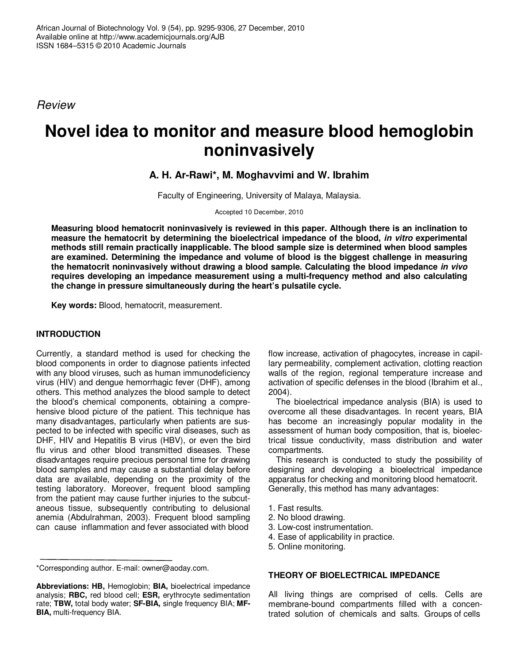*Review*

# **Novel idea to monitor and measure blood hemoglobin noninvasively**

**A. H. Ar-Rawi\*, M. Moghavvimi and W. Ibrahim**

Faculty of Engineering, University of Malaya, Malaysia.

Accepted 10 December, 2010

**Measuring blood hematocrit noninvasively is reviewed in this paper. Although there is an inclination to measure the hematocrit by determining the bioelectrical impedance of the blood,** *in vitro* **experimental methods still remain practically inapplicable. The blood sample size is determined when blood samples are examined. Determining the impedance and volume of blood is the biggest challenge in measuring the hematocrit noninvasively without drawing a blood sample. Calculating the blood impedance** *in vivo* **requires developing an impedance measurement using a multi-frequency method and also calculating the change in pressure simultaneously during the heart's pulsatile cycle.**

**Key words:** Blood, hematocrit, measurement.

## **INTRODUCTION**

Currently, a standard method is used for checking the blood components in order to diagnose patients infected with any blood viruses, such as human immunodeficiency virus (HIV) and dengue hemorrhagic fever (DHF), among others. This method analyzes the blood sample to detect the blood's chemical components, obtaining a comprehensive blood picture of the patient. This technique has many disadvantages, particularly when patients are suspected to be infected with specific viral diseases, such as DHF, HIV and Hepatitis B virus (HBV), or even the bird flu virus and other blood transmitted diseases. These disadvantages require precious personal time for drawing blood samples and may cause a substantial delay before data are available, depending on the proximity of the testing laboratory. Moreover, frequent blood sampling from the patient may cause further injuries to the subcutaneous tissue, subsequently contributing to delusional anemia (Abdulrahman, 2003). Frequent blood sampling can cause inflammation and fever associated with blood

\*Corresponding author. E-mail: owner@aoday.com.

flow increase, activation of phagocytes, increase in capillary permeability, complement activation, clotting reaction walls of the region, regional temperature increase and activation of specific defenses in the blood (Ibrahim et al., 2004).

The bioelectrical impedance analysis (BIA) is used to overcome all these disadvantages. In recent years, BIA has become an increasingly popular modality in the assessment of human body composition, that is, bioelectrical tissue conductivity, mass distribution and water compartments.

This research is conducted to study the possibility of designing and developing a bioelectrical impedance apparatus for checking and monitoring blood hematocrit. Generally, this method has many advantages:

- 1. Fast results.
- 2. No blood drawing.
- 3. Low-cost instrumentation.
- 4. Ease of applicability in practice.
- 5. Online monitoring.

## **THEORY OF BIOELECTRICAL IMPEDANCE**

All living things are comprised of cells. Cells are membrane-bound compartments filled with a concentrated solution of chemicals and salts. Groups of cells

**Abbreviations: HB,** Hemoglobin; **BIA,** bioelectrical impedance analysis; **RBC,** red blood cell; **ESR,** erythrocyte sedimentation rate; **TBW,** total body water; **SF-BIA,** single frequency BIA; **MF-BIA,** multi-frequency BIA.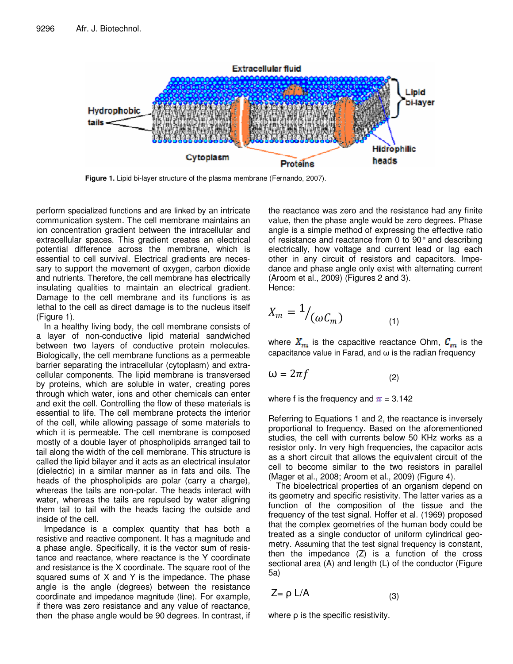

**Figure 1.** Lipid bi-layer structure of the plasma membrane (Fernando, 2007).

perform specialized functions and are linked by an intricate communication system. The cell membrane maintains an ion concentration gradient between the intracellular and extracellular spaces. This gradient creates an electrical potential difference across the membrane, which is essential to cell survival. Electrical gradients are necessary to support the movement of oxygen, carbon dioxide and nutrients. Therefore, the cell membrane has electrically insulating qualities to maintain an electrical gradient. Damage to the cell membrane and its functions is as lethal to the cell as direct damage is to the nucleus itself (Figure 1).

In a healthy living body, the cell membrane consists of a layer of non-conductive lipid material sandwiched between two layers of conductive protein molecules. Biologically, the cell membrane functions as a permeable barrier separating the intracellular (cytoplasm) and extracellular components. The lipid membrane is transversed by proteins, which are soluble in water, creating pores through which water, ions and other chemicals can enter and exit the cell. Controlling the flow of these materials is essential to life. The cell membrane protects the interior of the cell, while allowing passage of some materials to which it is permeable. The cell membrane is composed mostly of a double layer of phospholipids arranged tail to tail along the width of the cell membrane. This structure is called the lipid bilayer and it acts as an electrical insulator (dielectric) in a similar manner as in fats and oils. The heads of the phospholipids are polar (carry a charge), whereas the tails are non-polar. The heads interact with water, whereas the tails are repulsed by water aligning them tail to tail with the heads facing the outside and inside of the cell.

Impedance is a complex quantity that has both a resistive and reactive component. It has a magnitude and a phase angle. Specifically, it is the vector sum of resistance and reactance, where reactance is the Y coordinate and resistance is the X coordinate. The square root of the squared sums of X and Y is the impedance. The phase angle is the angle (degrees) between the resistance coordinate and impedance magnitude (line). For example, if there was zero resistance and any value of reactance, then the phase angle would be 90 degrees. In contrast, if

the reactance was zero and the resistance had any finite value, then the phase angle would be zero degrees. Phase angle is a simple method of expressing the effective ratio of resistance and reactance from 0 to 90° and describing electrically, how voltage and current lead or lag each other in any circuit of resistors and capacitors. Impedance and phase angle only exist with alternating current (Aroom et al., 2009) (Figures 2 and 3). Hence:

$$
X_m = \frac{1}{\omega C_m} \tag{1}
$$

where  $X_{\text{max}}$  is the capacitive reactance Ohm,  $C_{\text{max}}$  is the capacitance value in Farad, and  $\omega$  is the radian frequency

$$
\omega = 2\pi f \tag{2}
$$

where f is the frequency and  $\pi = 3.142$ 

Referring to Equations 1 and 2, the reactance is inversely proportional to frequency. Based on the aforementioned studies, the cell with currents below 50 KHz works as a resistor only. In very high frequencies, the capacitor acts as a short circuit that allows the equivalent circuit of the cell to become similar to the two resistors in parallel (Mager et al., 2008; Aroom et al., 2009) (Figure 4).

The bioelectrical properties of an organism depend on its geometry and specific resistivity. The latter varies as a function of the composition of the tissue and the frequency of the test signal. Hoffer et al. (1969) proposed that the complex geometries of the human body could be treated as a single conductor of uniform cylindrical geometry. Assuming that the test signal frequency is constant, then the impedance (Z) is a function of the cross sectional area (A) and length (L) of the conductor (Figure 5a)

$$
Z = \rho L/A \tag{3}
$$

where  $\rho$  is the specific resistivity.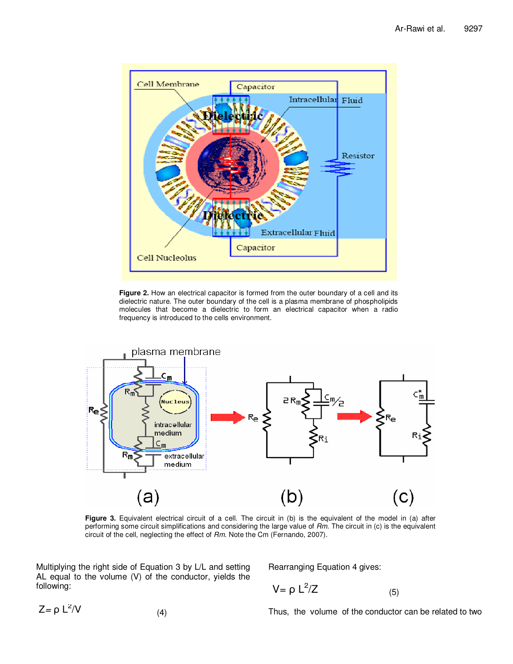

**Figure 2.** How an electrical capacitor is formed from the outer boundary of a cell and its dielectric nature. The outer boundary of the cell is a plasma membrane of phospholipids molecules that become a dielectric to form an electrical capacitor when a radio frequency is introduced to the cells environment.



**Figure 3.** Equivalent electrical circuit of a cell. The circuit in (b) is the equivalent of the model in (a) after performing some circuit simplifications and considering the large value of *Rm*. The circuit in (c) is the equivalent circuit of the cell, neglecting the effect of *Rm*. Note the Cm (Fernando, 2007).

Multiplying the right side of Equation 3 by L/L and setting AL equal to the volume (V) of the conductor, yields the following:

Rearranging Equation 4 gives:

$$
V = \rho L^2/Z \tag{5}
$$

 $Z = \rho L^2$  $\mathcal{N}$  (4)

Thus, the volume of the conductor can be related to two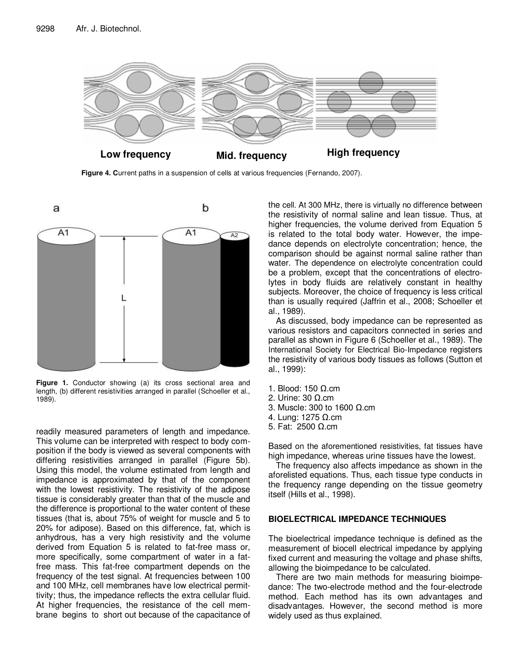

**Figure 4. C**urrent paths in a suspension of cells at various frequencies (Fernando, 2007).



**Figure 1.** Conductor showing (a) its cross sectional area and length, (b) different resistivities arranged in parallel (Schoeller et al., 1989).

readily measured parameters of length and impedance. This volume can be interpreted with respect to body composition if the body is viewed as several components with differing resistivities arranged in parallel (Figure 5b). Using this model, the volume estimated from length and impedance is approximated by that of the component with the lowest resistivity. The resistivity of the adipose tissue is considerably greater than that of the muscle and the difference is proportional to the water content of these tissues (that is, about 75% of weight for muscle and 5 to 20% for adipose). Based on this difference, fat, which is anhydrous, has a very high resistivity and the volume derived from Equation 5 is related to fat-free mass or, more specifically, some compartment of water in a fatfree mass. This fat-free compartment depends on the frequency of the test signal. At frequencies between 100 and 100 MHz, cell membranes have low electrical permittivity; thus, the impedance reflects the extra cellular fluid. At higher frequencies, the resistance of the cell membrane begins to short out because of the capacitance of

the cell. At 300 MHz, there is virtually no difference between the resistivity of normal saline and lean tissue. Thus, at higher frequencies, the volume derived from Equation 5 is related to the total body water. However, the impedance depends on electrolyte concentration; hence, the comparison should be against normal saline rather than water. The dependence on electrolyte concentration could be a problem, except that the concentrations of electrolytes in body fluids are relatively constant in healthy subjects. Moreover, the choice of frequency is less critical than is usually required (Jaffrin et al., 2008; Schoeller et al., 1989).

As discussed, body impedance can be represented as various resistors and capacitors connected in series and parallel as shown in Figure 6 (Schoeller et al., 1989). The International Society for Electrical Bio-Impedance registers the resistivity of various body tissues as follows (Sutton et al., 1999):

- 1. Blood:  $150 \Omega$ .cm
- 2. Urine:  $30 \Omega$ .cm
- 3. Muscle: 300 to 1600  $\Omega$ .cm
- 4. Lung:  $1275$   $\Omega$ .cm
- 5. Fat:  $2500 \Omega$ .cm

Based on the aforementioned resistivities, fat tissues have high impedance, whereas urine tissues have the lowest.

The frequency also affects impedance as shown in the aforelisted equations. Thus, each tissue type conducts in the frequency range depending on the tissue geometry itself (Hills et al., 1998).

#### **BIOELECTRICAL IMPEDANCE TECHNIQUES**

The bioelectrical impedance technique is defined as the measurement of biocell electrical impedance by applying fixed current and measuring the voltage and phase shifts, allowing the bioimpedance to be calculated.

There are two main methods for measuring bioimpedance: The two-electrode method and the four-electrode method. Each method has its own advantages and disadvantages. However, the second method is more widely used as thus explained.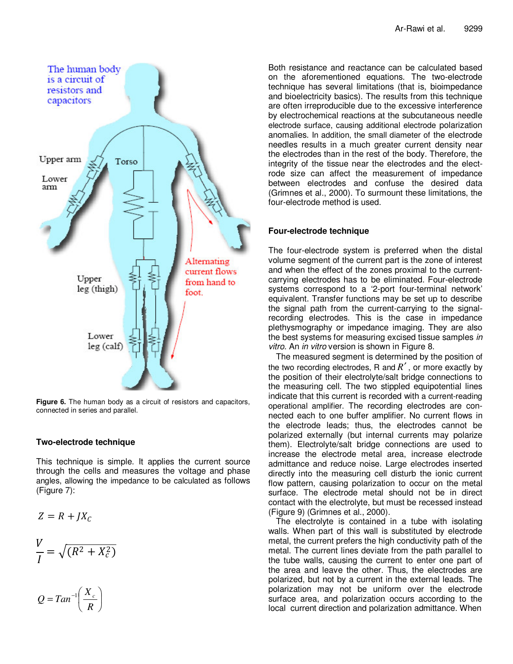

**Figure 6.** The human body as a circuit of resistors and capacitors, connected in series and parallel.

## **Two-electrode technique**

This technique is simple. It applies the current source through the cells and measures the voltage and phase angles, allowing the impedance to be calculated as follows (Figure 7):

$$
Z = R + JX_C
$$

$$
\frac{V}{I} = \sqrt{(R^2 + X_c^2)}
$$

$$
Q = Tan^{-1}\left(\frac{X_c}{R}\right)
$$

Both resistance and reactance can be calculated based on the aforementioned equations. The two-electrode technique has several limitations (that is, bioimpedance and bioelectricity basics). The results from this technique are often irreproducible due to the excessive interference by electrochemical reactions at the subcutaneous needle electrode surface, causing additional electrode polarization anomalies. In addition, the small diameter of the electrode needles results in a much greater current density near the electrodes than in the rest of the body. Therefore, the integrity of the tissue near the electrodes and the electrode size can affect the measurement of impedance between electrodes and confuse the desired data (Grimnes et al., 2000). To surmount these limitations, the four-electrode method is used.

# **Four-electrode technique**

The four-electrode system is preferred when the distal volume segment of the current part is the zone of interest and when the effect of the zones proximal to the currentcarrying electrodes has to be eliminated. Four-electrode systems correspond to a '2-port four-terminal network' equivalent. Transfer functions may be set up to describe the signal path from the current-carrying to the signalrecording electrodes. This is the case in impedance plethysmography or impedance imaging. They are also the best systems for measuring excised tissue samples *in vitro.* An *in vitro* version is shown in Figure 8.

The measured segment is determined by the position of the two recording electrodes, R and *R*′ , or more exactly by the position of their electrolyte/salt bridge connections to the measuring cell. The two stippled equipotential lines indicate that this current is recorded with a current-reading operational amplifier. The recording electrodes are connected each to one buffer amplifier. No current flows in the electrode leads; thus, the electrodes cannot be polarized externally (but internal currents may polarize them). Electrolyte/salt bridge connections are used to increase the electrode metal area, increase electrode admittance and reduce noise. Large electrodes inserted directly into the measuring cell disturb the ionic current flow pattern, causing polarization to occur on the metal surface. The electrode metal should not be in direct contact with the electrolyte, but must be recessed instead (Figure 9) (Grimnes et al., 2000).

The electrolyte is contained in a tube with isolating walls. When part of this wall is substituted by electrode metal, the current prefers the high conductivity path of the metal. The current lines deviate from the path parallel to the tube walls, causing the current to enter one part of the area and leave the other. Thus, the electrodes are polarized, but not by a current in the external leads. The polarization may not be uniform over the electrode surface area, and polarization occurs according to the local current direction and polarization admittance. When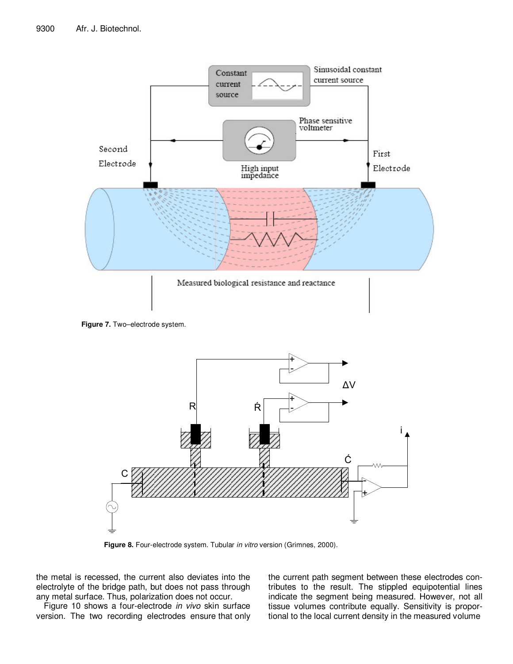





**Figure 8.** Four-electrode system. Tubular *in vitro* version (Grimnes, 2000).

the metal is recessed, the current also deviates into the electrolyte of the bridge path, but does not pass through any metal surface. Thus, polarization does not occur.

Figure 10 shows a four-electrode *in vivo* skin surface version. The two recording electrodes ensure that only the current path segment between these electrodes contributes to the result. The stippled equipotential lines indicate the segment being measured. However, not all tissue volumes contribute equally. Sensitivity is proportional to the local current density in the measured volume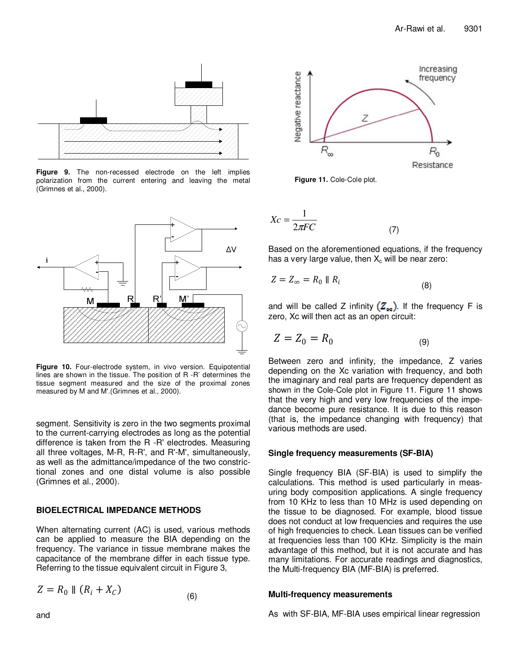

**Figure 9.** The non-recessed electrode on the left implies polarization from the current entering and leaving the metal (Grimnes et al., 2000).



**Figure 10.** Four-electrode system, in vivo version. Equipotential lines are shown in the tissue. The position of R -R' determines the tissue segment measured and the size of the proximal zones measured by M and M'.(Grimnes et al., 2000).

segment. Sensitivity is zero in the two segments proximal to the current-carrying electrodes as long as the potential difference is taken from the R -R' electrodes. Measuring all three voltages, M-R, R-R', and R'-M', simultaneously, as well as the admittance/impedance of the two constrictional zones and one distal volume is also possible (Grimnes et al., 2000).

## **BIOELECTRICAL IMPEDANCE METHODS**

When alternating current (AC) is used, various methods can be applied to measure the BIA depending on the frequency. The variance in tissue membrane makes the capacitance of the membrane differ in each tissue type. Referring to the tissue equivalent circuit in Figure 3,

(6)

$$
Z = R_0 \parallel (R_i + X_C)
$$



**Figure 11.** Cole-Cole plot.

$$
Xc = \frac{1}{2\pi FC} \tag{7}
$$

Based on the aforementioned equations, if the frequency has a very large value, then  $X_c$  will be near zero:

$$
Z = Z_{\infty} = R_0 \parallel R_i \tag{8}
$$

and will be called Z infinity  $(Z_{\infty})$ . If the frequency F is zero, Xc will then act as an open circuit:

$$
Z = Z_0 = R_0 \tag{9}
$$

Between zero and infinity, the impedance, Z varies depending on the Xc variation with frequency, and both the imaginary and real parts are frequency dependent as shown in the Cole-Cole plot in Figure 11. Figure 11 shows that the very high and very low frequencies of the impedance become pure resistance. It is due to this reason (that is, the impedance changing with frequency) that various methods are used.

## **Single frequency measurements (SF-BIA)**

Single frequency BIA (SF-BIA) is used to simplify the calculations. This method is used particularly in measuring body composition applications. A single frequency from 10 KHz to less than 10 MHz is used depending on the tissue to be diagnosed. For example, blood tissue does not conduct at low frequencies and requires the use of high frequencies to check. Lean tissues can be verified at frequencies less than 100 KHz. Simplicity is the main advantage of this method, but it is not accurate and has many limitations. For accurate readings and diagnostics, the Multi-frequency BIA (MF-BIA) is preferred.

## **Multi-frequency measurements**

As with SF-BIA, MF-BIA uses empirical linear regression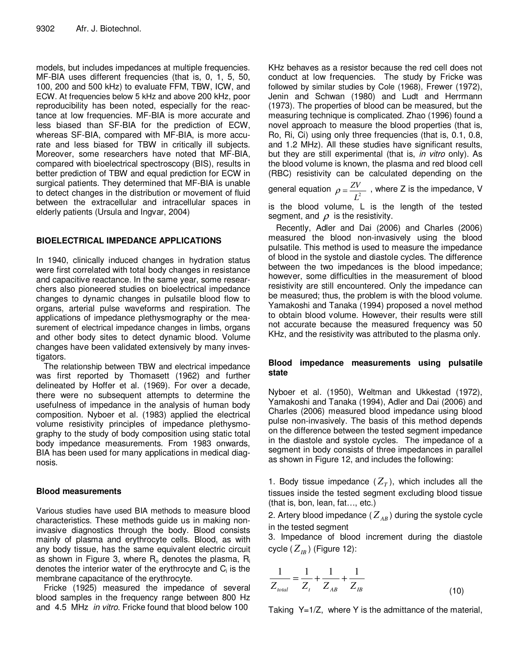models, but includes impedances at multiple frequencies. MF-BIA uses different frequencies (that is, 0, 1, 5, 50, 100, 200 and 500 kHz) to evaluate FFM, TBW, ICW, and ECW. At frequencies below 5 kHz and above 200 kHz, poor reproducibility has been noted, especially for the reactance at low frequencies. MF-BIA is more accurate and less biased than SF-BIA for the prediction of ECW, whereas SF-BIA, compared with MF-BIA, is more accurate and less biased for TBW in critically ill subjects. Moreover, some researchers have noted that MF-BIA, compared with bioelectrical spectroscopy (BIS), results in better prediction of TBW and equal prediction for ECW in surgical patients. They determined that MF-BIA is unable to detect changes in the distribution or movement of fluid between the extracellular and intracellular spaces in elderly patients (Ursula and Ingvar, 2004)

## **BIOELECTRICAL IMPEDANCE APPLICATIONS**

In 1940, clinically induced changes in hydration status were first correlated with total body changes in resistance and capacitive reactance. In the same year, some researchers also pioneered studies on bioelectrical impedance changes to dynamic changes in pulsatile blood flow to organs, arterial pulse waveforms and respiration. The applications of impedance plethysmography or the measurement of electrical impedance changes in limbs, organs and other body sites to detect dynamic blood. Volume changes have been validated extensively by many investigators.

The relationship between TBW and electrical impedance was first reported by Thomasett (1962) and further delineated by Hoffer et al. (1969). For over a decade, there were no subsequent attempts to determine the usefulness of impedance in the analysis of human body composition. Nyboer et al. (1983) applied the electrical volume resistivity principles of impedance plethysmography to the study of body composition using static total body impedance measurements. From 1983 onwards, BIA has been used for many applications in medical diagnosis.

## **Blood measurements**

Various studies have used BIA methods to measure blood characteristics. These methods guide us in making noninvasive diagnostics through the body. Blood consists mainly of plasma and erythrocyte cells. Blood, as with any body tissue, has the same equivalent electric circuit as shown in Figure 3, where  $R_0$  denotes the plasma,  $R_i$ denotes the interior water of the erythrocyte and  $\mathsf{C}_\mathsf{i}$  is the membrane capacitance of the erythrocyte.

Fricke (1925) measured the impedance of several blood samples in the frequency range between 800 Hz and 4.5 MHz *in vitro*. Fricke found that blood below 100

KHz behaves as a resistor because the red cell does not conduct at low frequencies. The study by Fricke was followed by similar studies by Cole (1968), Frewer (1972), Jenin and Schwan (1980) and Ludt and Herrmann (1973). The properties of blood can be measured, but the measuring technique is complicated. Zhao (1996) found a novel approach to measure the blood properties (that is, Ro, Ri, Ci) using only three frequencies (that is, 0.1, 0.8, and 1.2 MHz). All these studies have significant results, but they are still experimental (that is, *in vitro* only). As the blood volume is known, the plasma and red blood cell (RBC) resistivity can be calculated depending on the

general equation  $\rho = \frac{ZV}{L^2}$  $\rho = \frac{ZV}{Z^2}$ , where Z is the impedance, V is the blood volume, L is the length of the tested

segment, and  $\rho$  is the resistivity.

Recently, Adler and Dai (2006) and Charles (2006) measured the blood non-invasively using the blood pulsatile. This method is used to measure the impedance of blood in the systole and diastole cycles. The difference between the two impedances is the blood impedance; however, some difficulties in the measurement of blood resistivity are still encountered. Only the impedance can be measured; thus, the problem is with the blood volume. Yamakoshi and Tanaka (1994) proposed a novel method to obtain blood volume. However, their results were still not accurate because the measured frequency was 50 KHz, and the resistivity was attributed to the plasma only.

## **Blood impedance measurements using pulsatile state**

Nyboer et al. (1950), Weltman and Ukkestad (1972), Yamakoshi and Tanaka (1994), Adler and Dai (2006) and Charles (2006) measured blood impedance using blood pulse non-invasively. The basis of this method depends on the difference between the tested segment impedance in the diastole and systole cycles. The impedance of a segment in body consists of three impedances in parallel as shown in Figure 12, and includes the following:

1. Body tissue impedance  $(Z_T)$ , which includes all the tissues inside the tested segment excluding blood tissue (that is, bon, lean, fat…, etc.)

2. Artery blood impedance ( $Z_{AB}$ ) during the systole cycle in the tested segment

3. Impedance of blood increment during the diastole cycle ( $Z_{\scriptscriptstyle IB}$ ) (Figure 12):

$$
\frac{1}{Z_{total}} = \frac{1}{Z_t} + \frac{1}{Z_{AB}} + \frac{1}{Z_{IB}}
$$
(10)

Taking Y=1/Z, where Y is the admittance of the material,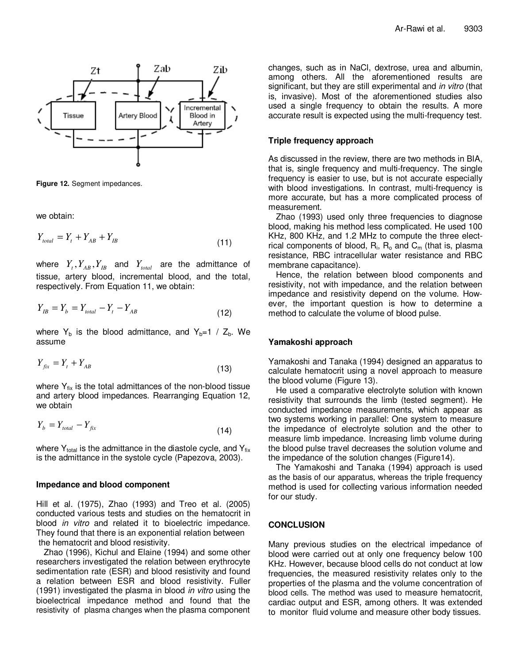

**Figure 12.** Segment impedances.

we obtain:

*Yfix* = *Y<sup>t</sup>* + *YAB*

$$
Y_{total} = Y_t + Y_{AB} + Y_{IB} \tag{11}
$$

where  $Y_{_t}, Y_{_{AB}}, Y_{_{IB}}$  and  $Y_{_{total}}$  are the admittance of tissue, artery blood, incremental blood, and the total, respectively. From Equation 11, we obtain:

$$
Y_{IB} = Y_b = Y_{total} - Y_t - Y_{AB}
$$
\n(12)

where  $Y_b$  is the blood admittance, and  $Y_b=1 / Z_b$ . We assume

$$
Y_{fix} = Y_t + Y_{AB} \tag{13}
$$

where  $Y_{fix}$  is the total admittances of the non-blood tissue and artery blood impedances. Rearranging Equation 12, we obtain

$$
Y_b = Y_{total} - Y_{fix} \tag{14}
$$

where  $\mathsf{Y}_{\mathsf{total}}$  is the admittance in the diastole cycle, and  $\mathsf{Y}_{\mathsf{fix}}$ is the admittance in the systole cycle (Papezova, 2003).

#### **Impedance and blood component**

Hill et al. (1975), Zhao (1993) and Treo et al. (2005) conducted various tests and studies on the hematocrit in blood *in vitro* and related it to bioelectric impedance. They found that there is an exponential relation between the hematocrit and blood resistivity.

Zhao (1996), Kichul and Elaine (1994) and some other researchers investigated the relation between erythrocyte sedimentation rate (ESR) and blood resistivity and found a relation between ESR and blood resistivity. Fuller (1991) investigated the plasma in blood *in vitro* using the bioelectrical impedance method and found that the resistivity of plasma changes when the plasma component changes, such as in NaCl, dextrose, urea and albumin, among others. All the aforementioned results are significant, but they are still experimental and *in vitro* (that is, invasive). Most of the aforementioned studies also used a single frequency to obtain the results. A more accurate result is expected using the multi-frequency test.

#### **Triple frequency approach**

As discussed in the review, there are two methods in BIA, that is, single frequency and multi-frequency. The single frequency is easier to use, but is not accurate especially with blood investigations. In contrast, multi-frequency is more accurate, but has a more complicated process of measurement.

Zhao (1993) used only three frequencies to diagnose blood, making his method less complicated. He used 100 KHz, 800 KHz, and 1.2 MHz to compute the three electrical components of blood,  $\mathsf{R}_{\mathsf{i}},\ \mathsf{R}_{\mathsf{o}}$  and  $\mathsf{C}_{\mathsf{m}}$  (that is, plasma resistance, RBC intracellular water resistance and RBC membrane capacitance).

Hence, the relation between blood components and resistivity, not with impedance, and the relation between impedance and resistivity depend on the volume. However, the important question is how to determine a method to calculate the volume of blood pulse.

#### **Yamakoshi approach**

Yamakoshi and Tanaka (1994) designed an apparatus to calculate hematocrit using a novel approach to measure the blood volume (Figure 13).

He used a comparative electrolyte solution with known resistivity that surrounds the limb (tested segment). He conducted impedance measurements, which appear as two systems working in parallel: One system to measure the impedance of electrolyte solution and the other to measure limb impedance. Increasing limb volume during the blood pulse travel decreases the solution volume and the impedance of the solution changes (Figure14).

The Yamakoshi and Tanaka (1994) approach is used as the basis of our apparatus, whereas the triple frequency method is used for collecting various information needed for our study.

#### **CONCLUSION**

Many previous studies on the electrical impedance of blood were carried out at only one frequency below 100 KHz. However, because blood cells do not conduct at low frequencies, the measured resistivity relates only to the properties of the plasma and the volume concentration of blood cells. The method was used to measure hematocrit, cardiac output and ESR, among others. It was extended to monitor fluid volume and measure other body tissues.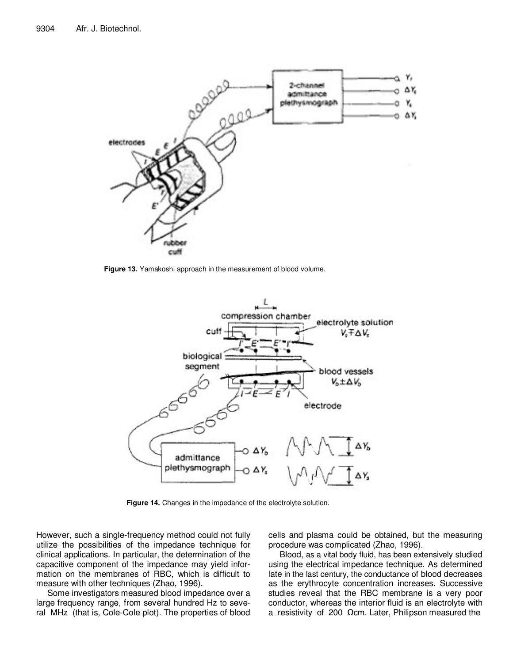

**Figure 13.** Yamakoshi approach in the measurement of blood volume.



**Figure 14.** Changes in the impedance of the electrolyte solution.

However, such a single-frequency method could not fully utilize the possibilities of the impedance technique for clinical applications. In particular, the determination of the capacitive component of the impedance may yield information on the membranes of RBC, which is difficult to measure with other techniques (Zhao, 1996).

Some investigators measured blood impedance over a large frequency range, from several hundred Hz to several MHz (that is, Cole-Cole plot). The properties of blood

cells and plasma could be obtained, but the measuring procedure was complicated (Zhao, 1996).

Blood, as a vital body fluid, has been extensively studied using the electrical impedance technique. As determined late in the last century, the conductance of blood decreases as the erythrocyte concentration increases. Successive studies reveal that the RBC membrane is a very poor conductor, whereas the interior fluid is an electrolyte with a resistivity of 200  $\Omega$ cm. Later, Philipson measured the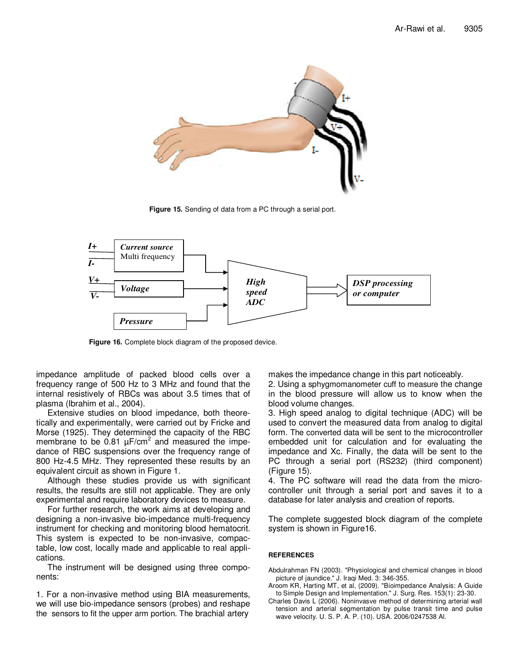

**Figure 15.** Sending of data from a PC through a serial port.



**Figure 16.** Complete block diagram of the proposed device.

impedance amplitude of packed blood cells over a frequency range of 500 Hz to 3 MHz and found that the internal resistively of RBCs was about 3.5 times that of plasma (Ibrahim et al., 2004).

Extensive studies on blood impedance, both theoretically and experimentally, were carried out by Fricke and Morse (1925). They determined the capacity of the RBC membrane to be  $0.81 \mu$ F/cm<sup>2</sup> and measured the impedance of RBC suspensions over the frequency range of 800 Hz-4.5 MHz. They represented these results by an equivalent circuit as shown in Figure 1.

Although these studies provide us with significant results, the results are still not applicable. They are only experimental and require laboratory devices to measure.

For further research, the work aims at developing and designing a non-invasive bio-impedance multi-frequency instrument for checking and monitoring blood hematocrit. This system is expected to be non-invasive, compactable, low cost, locally made and applicable to real applications.

The instrument will be designed using three components:

1. For a non-invasive method using BIA measurements, we will use bio-impedance sensors (probes) and reshape the sensors to fit the upper arm portion. The brachial artery

makes the impedance change in this part noticeably.

2. Using a sphygmomanometer cuff to measure the change in the blood pressure will allow us to know when the blood volume changes.

3. High speed analog to digital technique (ADC) will be used to convert the measured data from analog to digital form. The converted data will be sent to the microcontroller embedded unit for calculation and for evaluating the impedance and Xc. Finally, the data will be sent to the PC through a serial port (RS232) (third component) (Figure 15).

4. The PC software will read the data from the microcontroller unit through a serial port and saves it to a database for later analysis and creation of reports.

The complete suggested block diagram of the complete system is shown in Figure16.

#### **REFERENCES**

- Abdulrahman FN (2003). "Physiological and chemical changes in blood picture of jaundice." J. Iraqi Med. 3: 346-355.
- Aroom KR, Harting MT, et al, (2009). "Bioimpedance Analysis: A Guide to Simple Design and Implementation." J. Surg. Res. 153(1): 23-30.
- Charles Davis L (2006). Noninvasve method of determining arterial wall tension and arterial segmentation by pulse transit time and pulse wave velocity. U. S. P. A. P. (10). USA. 2006/0247538 Al.